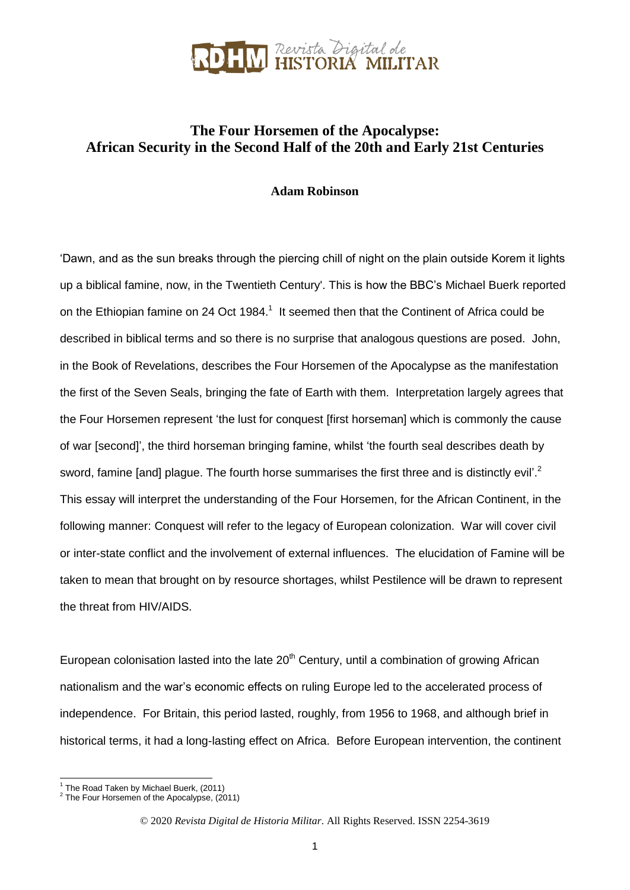

### **The Four Horsemen of the Apocalypse: African Security in the Second Half of the 20th and Early 21st Centuries**

#### **Adam Robinson**

'Dawn, and as the sun breaks through the piercing chill of night on the plain outside Korem it lights up a biblical famine, now, in the Twentieth Century'. This is how the BBC's Michael Buerk reported on the Ethiopian famine on 24 Oct 1984.<sup>1</sup> It seemed then that the Continent of Africa could be described in biblical terms and so there is no surprise that analogous questions are posed. John, in the Book of Revelations, describes the Four Horsemen of the Apocalypse as the manifestation the first of the Seven Seals, bringing the fate of Earth with them. Interpretation largely agrees that the Four Horsemen represent 'the lust for conquest [first horseman] which is commonly the cause of war [second]', the third horseman bringing famine, whilst 'the fourth seal describes death by sword, famine [and] plague. The fourth horse summarises the first three and is distinctly evil'.<sup>2</sup> This essay will interpret the understanding of the Four Horsemen, for the African Continent, in the following manner: Conquest will refer to the legacy of European colonization. War will cover civil or inter-state conflict and the involvement of external influences. The elucidation of Famine will be taken to mean that brought on by resource shortages, whilst Pestilence will be drawn to represent the threat from HIV/AIDS.

European colonisation lasted into the late  $20<sup>th</sup>$  Century, until a combination of growing African nationalism and the war's economic effects on ruling Europe led to the accelerated process of independence. For Britain, this period lasted, roughly, from 1956 to 1968, and although brief in historical terms, it had a long-lasting effect on Africa. Before European intervention, the continent

 1 The Road Taken by Michael Buerk, (2011)

 $2$  The Four Horsemen of the Apocalypse, (2011)

<sup>©</sup> 2020 *Revista Digital de Historia Militar*. All Rights Reserved. ISSN 2254-3619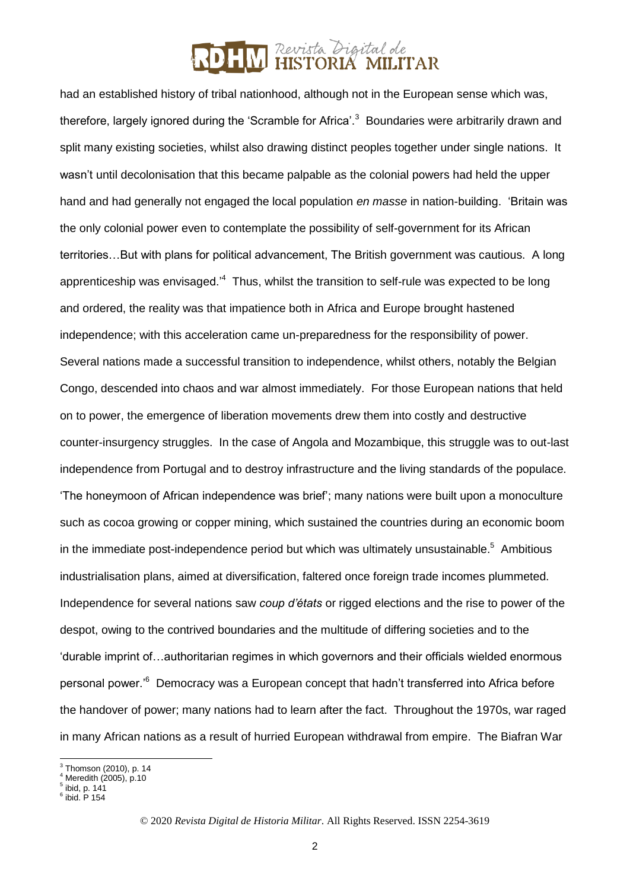had an established history of tribal nationhood, although not in the European sense which was, therefore, largely ignored during the 'Scramble for Africa'.<sup>3</sup> Boundaries were arbitrarily drawn and split many existing societies, whilst also drawing distinct peoples together under single nations. It wasn't until decolonisation that this became palpable as the colonial powers had held the upper hand and had generally not engaged the local population *en masse* in nation-building. 'Britain was the only colonial power even to contemplate the possibility of self-government for its African territories…But with plans for political advancement, The British government was cautious. A long apprenticeship was envisaged.<sup>4</sup> Thus, whilst the transition to self-rule was expected to be long and ordered, the reality was that impatience both in Africa and Europe brought hastened independence; with this acceleration came un-preparedness for the responsibility of power. Several nations made a successful transition to independence, whilst others, notably the Belgian Congo, descended into chaos and war almost immediately. For those European nations that held on to power, the emergence of liberation movements drew them into costly and destructive counter-insurgency struggles. In the case of Angola and Mozambique, this struggle was to out-last independence from Portugal and to destroy infrastructure and the living standards of the populace. 'The honeymoon of African independence was brief'; many nations were built upon a monoculture such as cocoa growing or copper mining, which sustained the countries during an economic boom in the immediate post-independence period but which was ultimately unsustainable.<sup>5</sup> Ambitious industrialisation plans, aimed at diversification, faltered once foreign trade incomes plummeted. Independence for several nations saw *coup d'états* or rigged elections and the rise to power of the despot, owing to the contrived boundaries and the multitude of differing societies and to the 'durable imprint of…authoritarian regimes in which governors and their officials wielded enormous personal power.<sup>16</sup> Democracy was a European concept that hadn't transferred into Africa before the handover of power; many nations had to learn after the fact. Throughout the 1970s, war raged in many African nations as a result of hurried European withdrawal from empire. The Biafran War

 3 Thomson (2010), p. 14

Meredith (2005), p.10

 $^5$  ibid, p. 141<br> $^6$  ibid. P 154

<sup>©</sup> 2020 *Revista Digital de Historia Militar*. All Rights Reserved. ISSN 2254-3619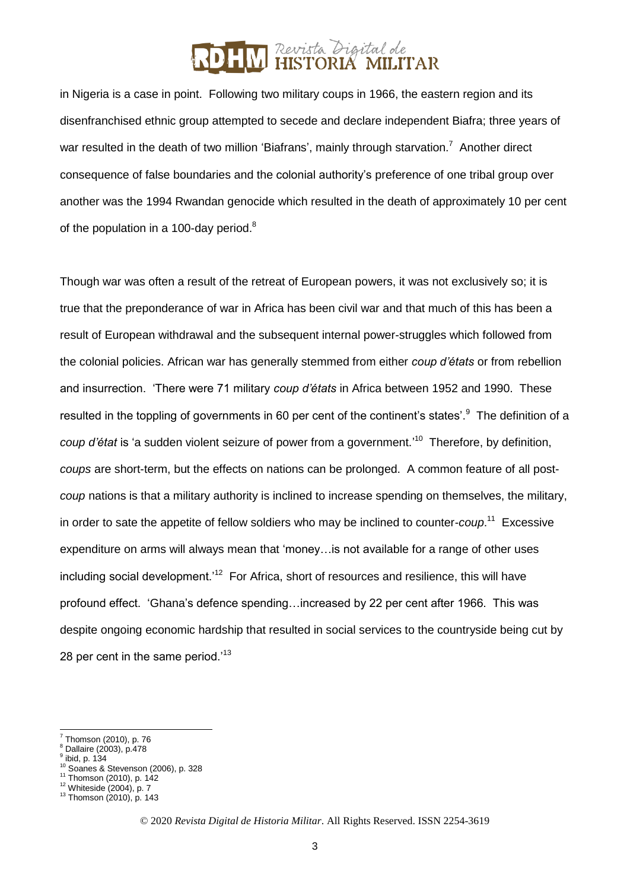in Nigeria is a case in point. Following two military coups in 1966, the eastern region and its disenfranchised ethnic group attempted to secede and declare independent Biafra; three years of war resulted in the death of two million 'Biafrans', mainly through starvation.<sup>7</sup> Another direct consequence of false boundaries and the colonial authority's preference of one tribal group over another was the 1994 Rwandan genocide which resulted in the death of approximately 10 per cent of the population in a 100-day period. $8$ 

Though war was often a result of the retreat of European powers, it was not exclusively so; it is true that the preponderance of war in Africa has been civil war and that much of this has been a result of European withdrawal and the subsequent internal power-struggles which followed from the colonial policies. African war has generally stemmed from either *coup d'états* or from rebellion and insurrection. 'There were 71 military *coup d'états* in Africa between 1952 and 1990. These resulted in the toppling of governments in 60 per cent of the continent's states'.<sup>9</sup> The definition of a coup d'état is 'a sudden violent seizure of power from a government.<sup>'10</sup> Therefore, by definition, *coups* are short-term, but the effects on nations can be prolonged. A common feature of all post*coup* nations is that a military authority is inclined to increase spending on themselves, the military, in order to sate the appetite of fellow soldiers who may be inclined to counter-*coup*.<sup>11</sup> Excessive expenditure on arms will always mean that 'money…is not available for a range of other uses including social development.<sup>12</sup> For Africa, short of resources and resilience, this will have profound effect. 'Ghana's defence spending…increased by 22 per cent after 1966. This was despite ongoing economic hardship that resulted in social services to the countryside being cut by 28 per cent in the same period.<sup>13</sup>

-

<sup>7</sup> Thomson (2010), p. 76

Dallaire (2003), p.478 9

ibid, p. 134

<sup>10</sup> Soanes & Stevenson (2006), p. 328

<sup>&</sup>lt;sup>11</sup> Thomson (2010), p. 142

<sup>12</sup> Whiteside (2004), p. 7

 $13$  Thomson (2010), p. 143

<sup>©</sup> 2020 *Revista Digital de Historia Militar*. All Rights Reserved. ISSN 2254-3619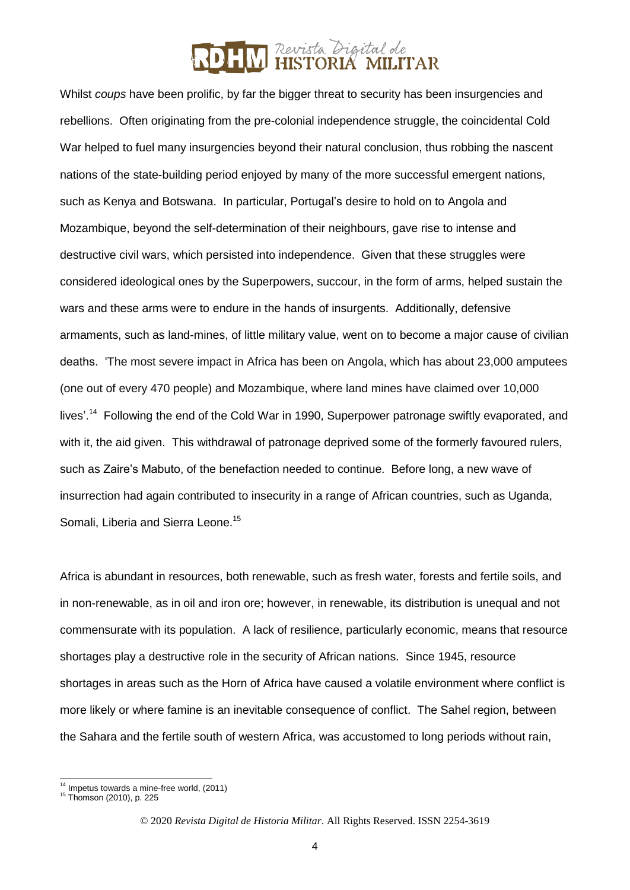Whilst *coups* have been prolific, by far the bigger threat to security has been insurgencies and rebellions. Often originating from the pre-colonial independence struggle, the coincidental Cold War helped to fuel many insurgencies beyond their natural conclusion, thus robbing the nascent nations of the state-building period enjoyed by many of the more successful emergent nations, such as Kenya and Botswana. In particular, Portugal's desire to hold on to Angola and Mozambique, beyond the self-determination of their neighbours, gave rise to intense and destructive civil wars, which persisted into independence. Given that these struggles were considered ideological ones by the Superpowers, succour, in the form of arms, helped sustain the wars and these arms were to endure in the hands of insurgents. Additionally, defensive armaments, such as land-mines, of little military value, went on to become a major cause of civilian deaths. 'The most severe impact in Africa has been on Angola, which has about 23,000 amputees (one out of every 470 people) and Mozambique, where land mines have claimed over 10,000 lives'.<sup>14</sup> Following the end of the Cold War in 1990, Superpower patronage swiftly evaporated, and with it, the aid given. This withdrawal of patronage deprived some of the formerly favoured rulers, such as Zaire's Mabuto, of the benefaction needed to continue. Before long, a new wave of insurrection had again contributed to insecurity in a range of African countries, such as Uganda, Somali, Liberia and Sierra Leone.<sup>15</sup>

Africa is abundant in resources, both renewable, such as fresh water, forests and fertile soils, and in non-renewable, as in oil and iron ore; however, in renewable, its distribution is unequal and not commensurate with its population. A lack of resilience, particularly economic, means that resource shortages play a destructive role in the security of African nations. Since 1945, resource shortages in areas such as the Horn of Africa have caused a volatile environment where conflict is more likely or where famine is an inevitable consequence of conflict. The Sahel region, between the Sahara and the fertile south of western Africa, was accustomed to long periods without rain,

 $\overline{a}$  $14$  Impetus towards a mine-free world, (2011)

<sup>15</sup> Thomson (2010), p. 225

<sup>©</sup> 2020 *Revista Digital de Historia Militar*. All Rights Reserved. ISSN 2254-3619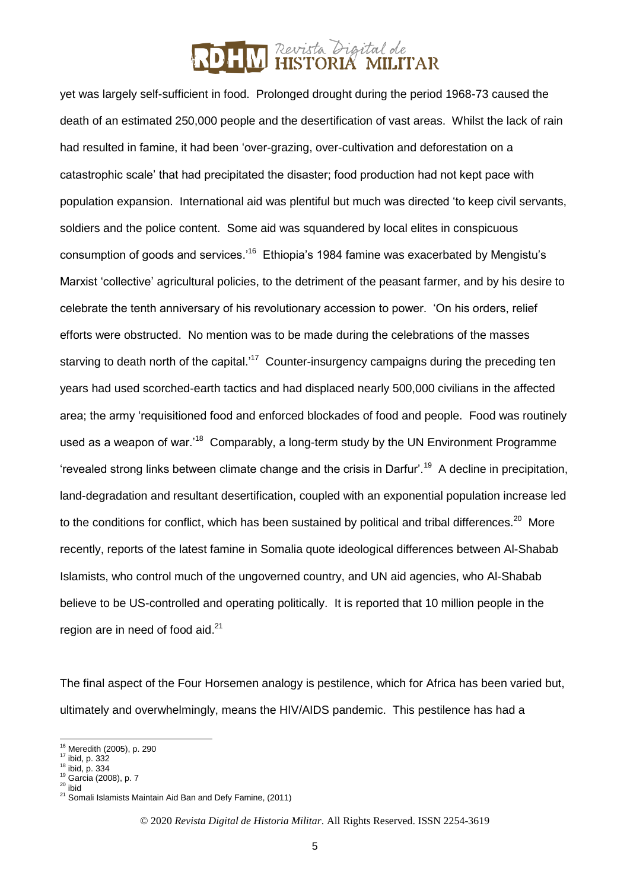yet was largely self-sufficient in food. Prolonged drought during the period 1968-73 caused the death of an estimated 250,000 people and the desertification of vast areas. Whilst the lack of rain had resulted in famine, it had been 'over-grazing, over-cultivation and deforestation on a catastrophic scale' that had precipitated the disaster; food production had not kept pace with population expansion. International aid was plentiful but much was directed 'to keep civil servants, soldiers and the police content. Some aid was squandered by local elites in conspicuous consumption of goods and services.'<sup>16</sup> Ethiopia's 1984 famine was exacerbated by Mengistu's Marxist 'collective' agricultural policies, to the detriment of the peasant farmer, and by his desire to celebrate the tenth anniversary of his revolutionary accession to power. 'On his orders, relief efforts were obstructed. No mention was to be made during the celebrations of the masses starving to death north of the capital.'<sup>17</sup> Counter-insurgency campaigns during the preceding ten years had used scorched-earth tactics and had displaced nearly 500,000 civilians in the affected area; the army 'requisitioned food and enforced blockades of food and people. Food was routinely used as a weapon of war.<sup>18</sup> Comparably, a long-term study by the UN Environment Programme 'revealed strong links between climate change and the crisis in Darfur'.<sup>19</sup> A decline in precipitation, land-degradation and resultant desertification, coupled with an exponential population increase led to the conditions for conflict, which has been sustained by political and tribal differences.<sup>20</sup> More recently, reports of the latest famine in Somalia quote ideological differences between Al-Shabab Islamists, who control much of the ungoverned country, and UN aid agencies, who Al-Shabab believe to be US-controlled and operating politically. It is reported that 10 million people in the region are in need of food aid.<sup>21</sup>

The final aspect of the Four Horsemen analogy is pestilence, which for Africa has been varied but, ultimately and overwhelmingly, means the HIV/AIDS pandemic. This pestilence has had a

1

<sup>16</sup> Meredith (2005), p. 290

<sup>17</sup> ibid, p. 332

 $18$  ibid, p. 334

<sup>19</sup> Garcia (2008), p. 7  $20$  ibid

<sup>21</sup> Somali Islamists Maintain Aid Ban and Defy Famine, (2011)

<sup>©</sup> 2020 *Revista Digital de Historia Militar*. All Rights Reserved. ISSN 2254-3619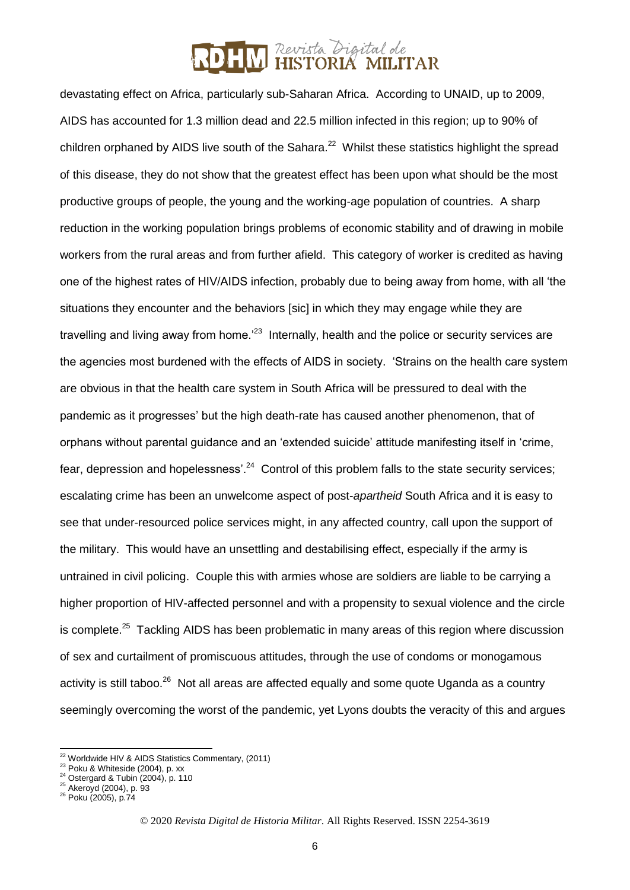devastating effect on Africa, particularly sub-Saharan Africa. According to UNAID, up to 2009, AIDS has accounted for 1.3 million dead and 22.5 million infected in this region; up to 90% of children orphaned by AIDS live south of the Sahara. $^{22}$  Whilst these statistics highlight the spread of this disease, they do not show that the greatest effect has been upon what should be the most productive groups of people, the young and the working-age population of countries. A sharp reduction in the working population brings problems of economic stability and of drawing in mobile workers from the rural areas and from further afield. This category of worker is credited as having one of the highest rates of HIV/AIDS infection, probably due to being away from home, with all 'the situations they encounter and the behaviors [sic] in which they may engage while they are travelling and living away from home.<sup>23</sup> Internally, health and the police or security services are the agencies most burdened with the effects of AIDS in society. 'Strains on the health care system are obvious in that the health care system in South Africa will be pressured to deal with the pandemic as it progresses' but the high death-rate has caused another phenomenon, that of orphans without parental guidance and an 'extended suicide' attitude manifesting itself in 'crime, fear, depression and hopelessness'.<sup>24</sup> Control of this problem falls to the state security services; escalating crime has been an unwelcome aspect of post-*apartheid* South Africa and it is easy to see that under-resourced police services might, in any affected country, call upon the support of the military. This would have an unsettling and destabilising effect, especially if the army is untrained in civil policing. Couple this with armies whose are soldiers are liable to be carrying a higher proportion of HIV-affected personnel and with a propensity to sexual violence and the circle is complete.<sup>25</sup> Tackling AIDS has been problematic in many areas of this region where discussion of sex and curtailment of promiscuous attitudes, through the use of condoms or monogamous activity is still taboo.<sup>26</sup> Not all areas are affected equally and some quote Uganda as a country seemingly overcoming the worst of the pandemic, yet Lyons doubts the veracity of this and argues

<sup>-</sup> $22$  Worldwide HIV & AIDS Statistics Commentary, (2011)

<sup>23</sup> Poku & Whiteside (2004), p. xx

 $24$  Ostergard & Tubin (2004), p. 110

<sup>&</sup>lt;sup>25</sup> Akeroyd (2004), p. 93

<sup>26</sup> Poku (2005), p.74

<sup>©</sup> 2020 *Revista Digital de Historia Militar*. All Rights Reserved. ISSN 2254-3619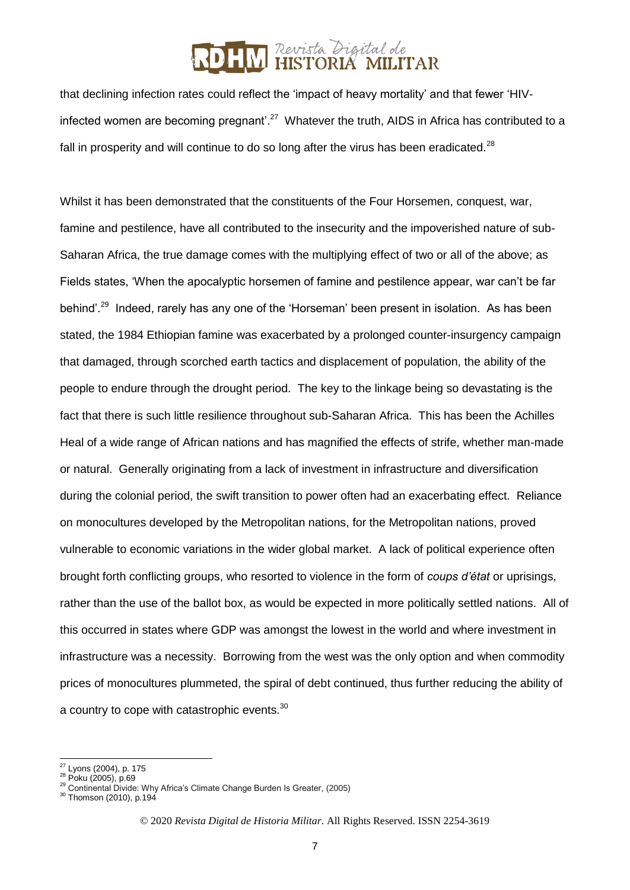that declining infection rates could reflect the 'impact of heavy mortality' and that fewer 'HIVinfected women are becoming pregnant'.<sup>27</sup> Whatever the truth, AIDS in Africa has contributed to a fall in prosperity and will continue to do so long after the virus has been eradicated. $^{28}$ 

Whilst it has been demonstrated that the constituents of the Four Horsemen, conquest, war, famine and pestilence, have all contributed to the insecurity and the impoverished nature of sub-Saharan Africa, the true damage comes with the multiplying effect of two or all of the above; as Fields states, 'When the apocalyptic horsemen of famine and pestilence appear, war can't be far behind'.<sup>29</sup> Indeed, rarely has any one of the 'Horseman' been present in isolation. As has been stated, the 1984 Ethiopian famine was exacerbated by a prolonged counter-insurgency campaign that damaged, through scorched earth tactics and displacement of population, the ability of the people to endure through the drought period. The key to the linkage being so devastating is the fact that there is such little resilience throughout sub-Saharan Africa. This has been the Achilles Heal of a wide range of African nations and has magnified the effects of strife, whether man-made or natural. Generally originating from a lack of investment in infrastructure and diversification during the colonial period, the swift transition to power often had an exacerbating effect. Reliance on monocultures developed by the Metropolitan nations, for the Metropolitan nations, proved vulnerable to economic variations in the wider global market. A lack of political experience often brought forth conflicting groups, who resorted to violence in the form of *coups d'état* or uprisings, rather than the use of the ballot box, as would be expected in more politically settled nations. All of this occurred in states where GDP was amongst the lowest in the world and where investment in infrastructure was a necessity. Borrowing from the west was the only option and when commodity prices of monocultures plummeted, the spiral of debt continued, thus further reducing the ability of a country to cope with catastrophic events.<sup>30</sup>

<sup>-</sup><sup>27</sup> Lyons (2004), p. 175

<sup>28</sup> Poku (2005), p.69

<sup>&</sup>lt;sup>29</sup> Continental Divide: Why Africa's Climate Change Burden Is Greater, (2005)

<sup>30</sup> Thomson (2010), p.194

<sup>©</sup> 2020 *Revista Digital de Historia Militar*. All Rights Reserved. ISSN 2254-3619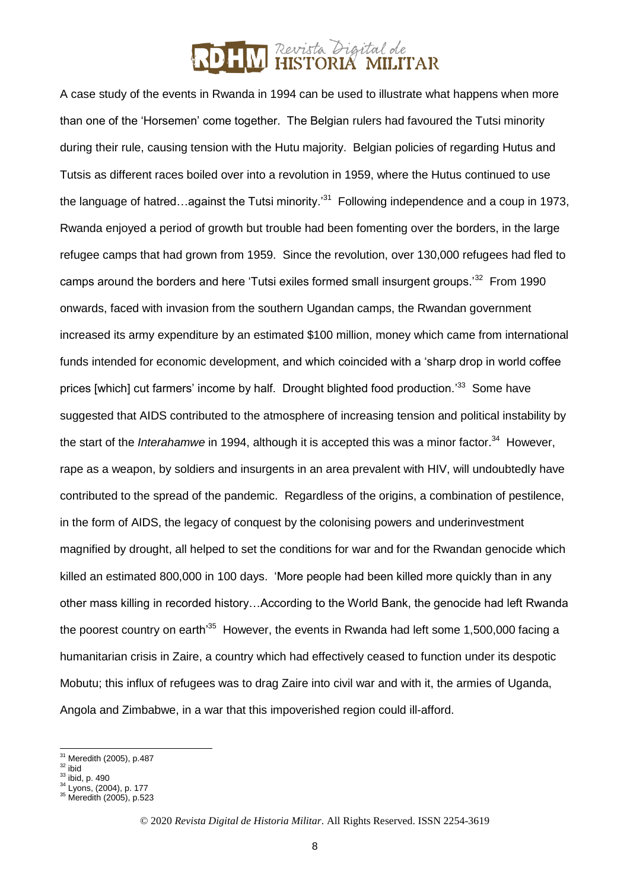A case study of the events in Rwanda in 1994 can be used to illustrate what happens when more than one of the 'Horsemen' come together. The Belgian rulers had favoured the Tutsi minority during their rule, causing tension with the Hutu majority. Belgian policies of regarding Hutus and Tutsis as different races boiled over into a revolution in 1959, where the Hutus continued to use the language of hatred...against the Tutsi minority.<sup>31</sup> Following independence and a coup in 1973, Rwanda enjoyed a period of growth but trouble had been fomenting over the borders, in the large refugee camps that had grown from 1959. Since the revolution, over 130,000 refugees had fled to camps around the borders and here 'Tutsi exiles formed small insurgent groups.'<sup>32</sup> From 1990 onwards, faced with invasion from the southern Ugandan camps, the Rwandan government increased its army expenditure by an estimated \$100 million, money which came from international funds intended for economic development, and which coincided with a 'sharp drop in world coffee prices [which] cut farmers' income by half. Drought blighted food production.<sup>33</sup> Some have suggested that AIDS contributed to the atmosphere of increasing tension and political instability by the start of the *Interahamwe* in 1994, although it is accepted this was a minor factor.<sup>34</sup> However, rape as a weapon, by soldiers and insurgents in an area prevalent with HIV, will undoubtedly have contributed to the spread of the pandemic. Regardless of the origins, a combination of pestilence, in the form of AIDS, the legacy of conquest by the colonising powers and underinvestment magnified by drought, all helped to set the conditions for war and for the Rwandan genocide which killed an estimated 800,000 in 100 days. 'More people had been killed more quickly than in any other mass killing in recorded history…According to the World Bank, the genocide had left Rwanda the poorest country on earth<sup>35</sup> However, the events in Rwanda had left some 1,500,000 facing a humanitarian crisis in Zaire, a country which had effectively ceased to function under its despotic Mobutu; this influx of refugees was to drag Zaire into civil war and with it, the armies of Uganda, Angola and Zimbabwe, in a war that this impoverished region could ill-afford.

<sup>-</sup> $31$  Meredith (2005), p.487

 $32$  ibid

 $33$  ibid, p. 490

<sup>&</sup>lt;sup>34</sup> Lyons, (2004), p. 177 <sup>35</sup> Meredith (2005), p.523

<sup>©</sup> 2020 *Revista Digital de Historia Militar*. All Rights Reserved. ISSN 2254-3619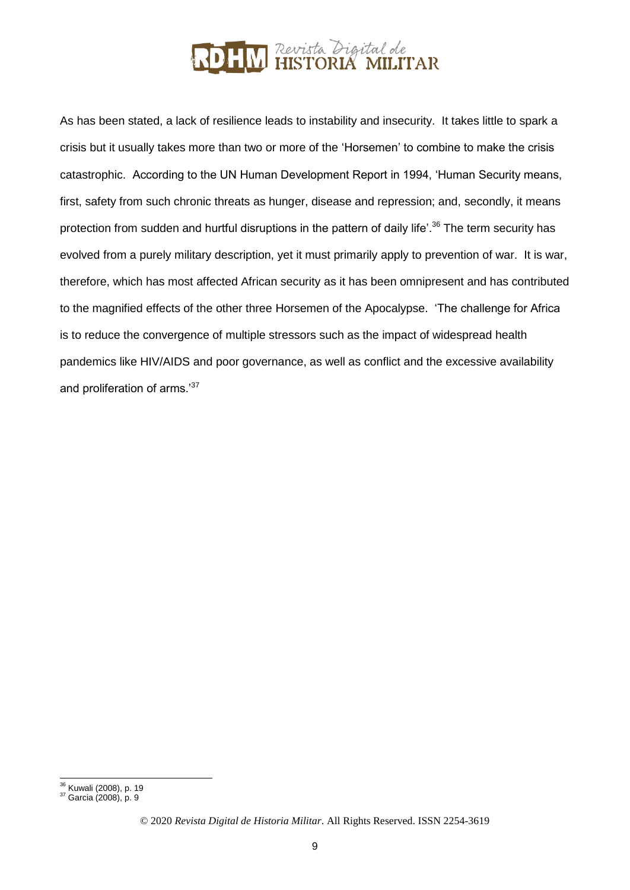

As has been stated, a lack of resilience leads to instability and insecurity. It takes little to spark a crisis but it usually takes more than two or more of the 'Horsemen' to combine to make the crisis catastrophic. According to the UN Human Development Report in 1994, 'Human Security means, first, safety from such chronic threats as hunger, disease and repression; and, secondly, it means protection from sudden and hurtful disruptions in the pattern of daily life'.<sup>36</sup> The term security has evolved from a purely military description, yet it must primarily apply to prevention of war. It is war, therefore, which has most affected African security as it has been omnipresent and has contributed to the magnified effects of the other three Horsemen of the Apocalypse. 'The challenge for Africa is to reduce the convergence of multiple stressors such as the impact of widespread health pandemics like HIV/AIDS and poor governance, as well as conflict and the excessive availability and proliferation of arms.<sup>37</sup>

 $\overline{a}$ <sup>36</sup> Kuwali (2008), p. 19

<sup>37</sup> Garcia (2008), p. 9

<sup>©</sup> 2020 *Revista Digital de Historia Militar*. All Rights Reserved. ISSN 2254-3619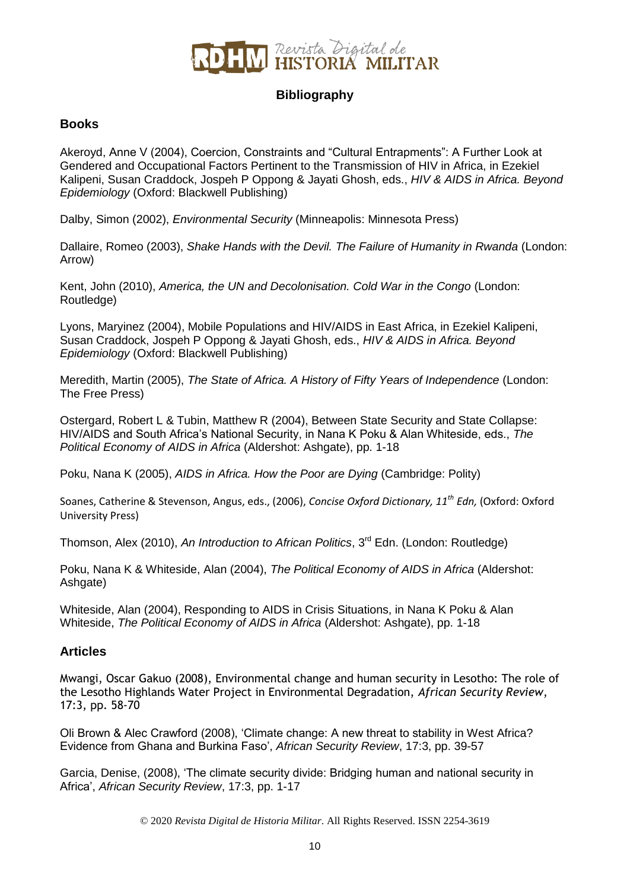

### **Bibliography**

### **Books**

Akeroyd, Anne V (2004), Coercion, Constraints and "Cultural Entrapments": A Further Look at Gendered and Occupational Factors Pertinent to the Transmission of HIV in Africa, in Ezekiel Kalipeni, Susan Craddock, Jospeh P Oppong & Jayati Ghosh, eds., *HIV & AIDS in Africa. Beyond Epidemiology* (Oxford: Blackwell Publishing)

Dalby, Simon (2002), *Environmental Security* (Minneapolis: Minnesota Press)

Dallaire, Romeo (2003), *Shake Hands with the Devil. The Failure of Humanity in Rwanda* (London: Arrow)

Kent, John (2010), *America, the UN and Decolonisation. Cold War in the Congo* (London: Routledge)

Lyons, Maryinez (2004), Mobile Populations and HIV/AIDS in East Africa, in Ezekiel Kalipeni, Susan Craddock, Jospeh P Oppong & Jayati Ghosh, eds., *HIV & AIDS in Africa. Beyond Epidemiology* (Oxford: Blackwell Publishing)

Meredith, Martin (2005), *The State of Africa. A History of Fifty Years of Independence* (London: The Free Press)

Ostergard, Robert L & Tubin, Matthew R (2004), Between State Security and State Collapse: HIV/AIDS and South Africa's National Security, in Nana K Poku & Alan Whiteside, eds., *The Political Economy of AIDS in Africa* (Aldershot: Ashgate), pp. 1-18

Poku, Nana K (2005), *AIDS in Africa. How the Poor are Dying* (Cambridge: Polity)

Soanes, Catherine & Stevenson, Angus, eds., (2006), *Concise Oxford Dictionary, 11th Edn,* (Oxford: Oxford University Press)

Thomson, Alex (2010), *An Introduction to African Politics*, 3<sup>rd</sup> Edn. (London: Routledge)

Poku, Nana K & Whiteside, Alan (2004), *The Political Economy of AIDS in Africa* (Aldershot: Ashgate)

Whiteside, Alan (2004), Responding to AIDS in Crisis Situations, in Nana K Poku & Alan Whiteside, *The Political Economy of AIDS in Africa* (Aldershot: Ashgate), pp. 1-18

### **Articles**

Mwangi, Oscar Gakuo (2008), Environmental change and human security in Lesotho: The role of the Lesotho Highlands Water Project in Environmental Degradation, *African Security Review*, 17:3, pp. 58-70

Oli Brown & Alec Crawford (2008), 'Climate change: A new threat to stability in West Africa? Evidence from Ghana and Burkina Faso', *African Security Review*, 17:3, pp. 39-57

Garcia, Denise, (2008), 'The climate security divide: Bridging human and national security in Africa', *African Security Review*, 17:3, pp. 1-17

© 2020 *Revista Digital de Historia Militar*. All Rights Reserved. ISSN 2254-3619